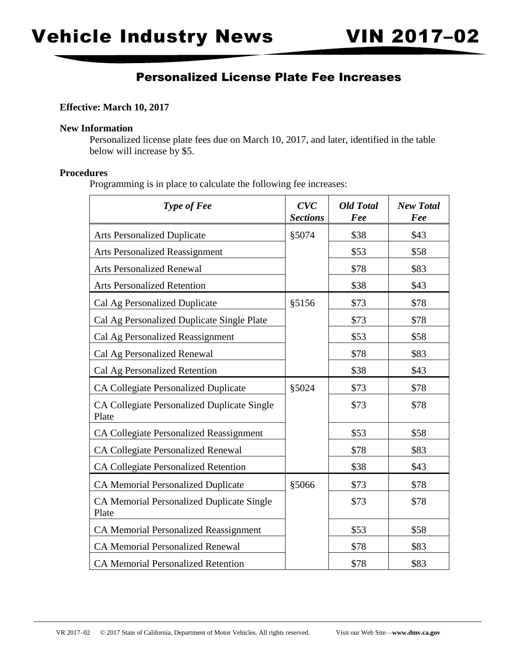## Personalized License Plate Fee Increases

### **Effective: March 10, 2017**

#### **New Information**

Personalized license plate fees due on March 10, 2017, and later, identified in the table below will increase by \$5.

### **Procedures**

Programming is in place to calculate the following fee increases:

| Type of Fee                                               | CVC<br><b>Sections</b> | <b>Old Total</b><br>Fee | <b>New Total</b><br>Fee |
|-----------------------------------------------------------|------------------------|-------------------------|-------------------------|
| <b>Arts Personalized Duplicate</b>                        | §5074                  | \$38                    | \$43                    |
| <b>Arts Personalized Reassignment</b>                     |                        | \$53                    | \$58                    |
| <b>Arts Personalized Renewal</b>                          |                        | \$78                    | \$83                    |
| <b>Arts Personalized Retention</b>                        |                        | \$38                    | \$43                    |
| Cal Ag Personalized Duplicate                             | §5156                  | \$73                    | \$78                    |
| Cal Ag Personalized Duplicate Single Plate                |                        | \$73                    | \$78                    |
| Cal Ag Personalized Reassignment                          |                        | \$53                    | \$58                    |
| Cal Ag Personalized Renewal                               |                        | \$78                    | \$83                    |
| Cal Ag Personalized Retention                             |                        | \$38                    | \$43                    |
| CA Collegiate Personalized Duplicate                      | §5024                  | \$73                    | \$78                    |
| CA Collegiate Personalized Duplicate Single<br>Plate      |                        | \$73                    | \$78                    |
| CA Collegiate Personalized Reassignment                   |                        | \$53                    | \$58                    |
| <b>CA Collegiate Personalized Renewal</b>                 |                        | \$78                    | \$83                    |
| <b>CA Collegiate Personalized Retention</b>               |                        | \$38                    | \$43                    |
| <b>CA Memorial Personalized Duplicate</b>                 | §5066                  | \$73                    | \$78                    |
| <b>CA Memorial Personalized Duplicate Single</b><br>Plate |                        | \$73                    | \$78                    |
| <b>CA Memorial Personalized Reassignment</b>              |                        | \$53                    | \$58                    |
| <b>CA Memorial Personalized Renewal</b>                   |                        | \$78                    | \$83                    |
| <b>CA Memorial Personalized Retention</b>                 |                        | \$78                    | \$83                    |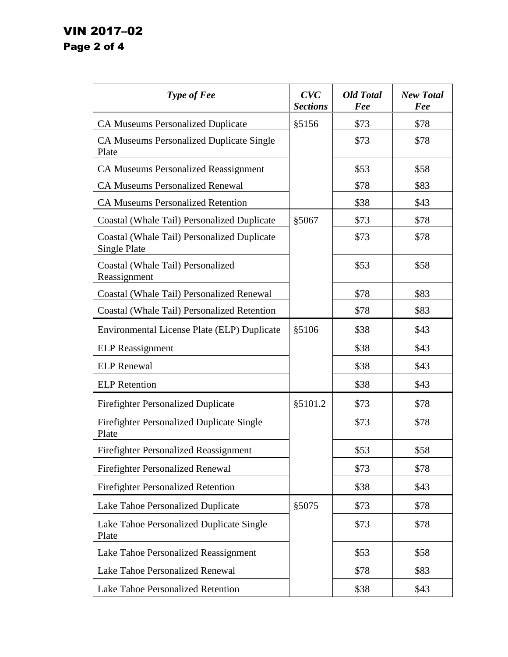# VIN 2017–02 Page 2 of 4

| Type of Fee                                                 | CVC<br><b>Sections</b> | <b>Old Total</b><br>Fee | <b>New Total</b><br>Fee |
|-------------------------------------------------------------|------------------------|-------------------------|-------------------------|
| <b>CA Museums Personalized Duplicate</b>                    | §5156                  | \$73                    | \$78                    |
| <b>CA Museums Personalized Duplicate Single</b><br>Plate    |                        | \$73                    | \$78                    |
| <b>CA Museums Personalized Reassignment</b>                 |                        | \$53                    | \$58                    |
| <b>CA Museums Personalized Renewal</b>                      |                        | \$78                    | \$83                    |
| <b>CA Museums Personalized Retention</b>                    |                        | \$38                    | \$43                    |
| Coastal (Whale Tail) Personalized Duplicate                 | §5067                  | \$73                    | \$78                    |
| Coastal (Whale Tail) Personalized Duplicate<br>Single Plate |                        | \$73                    | \$78                    |
| Coastal (Whale Tail) Personalized<br>Reassignment           |                        | \$53                    | \$58                    |
| Coastal (Whale Tail) Personalized Renewal                   |                        | \$78                    | \$83                    |
| Coastal (Whale Tail) Personalized Retention                 |                        | \$78                    | \$83                    |
| Environmental License Plate (ELP) Duplicate                 | §5106                  | \$38                    | \$43                    |
| <b>ELP</b> Reassignment                                     |                        | \$38                    | \$43                    |
| <b>ELP</b> Renewal                                          |                        | \$38                    | \$43                    |
| <b>ELP</b> Retention                                        |                        | \$38                    | \$43                    |
| <b>Firefighter Personalized Duplicate</b>                   | \$5101.2               | \$73                    | \$78                    |
| <b>Firefighter Personalized Duplicate Single</b><br>Plate   |                        | \$73                    | \$78                    |
| <b>Firefighter Personalized Reassignment</b>                |                        | \$53                    | \$58                    |
| <b>Firefighter Personalized Renewal</b>                     |                        | \$73                    | \$78                    |
| <b>Firefighter Personalized Retention</b>                   |                        | \$38                    | \$43                    |
| Lake Tahoe Personalized Duplicate                           | §5075                  | \$73                    | \$78                    |
| Lake Tahoe Personalized Duplicate Single<br>Plate           |                        | \$73                    | \$78                    |
| Lake Tahoe Personalized Reassignment                        |                        | \$53                    | \$58                    |
| Lake Tahoe Personalized Renewal                             |                        | \$78                    | \$83                    |
| Lake Tahoe Personalized Retention                           |                        | \$38                    | \$43                    |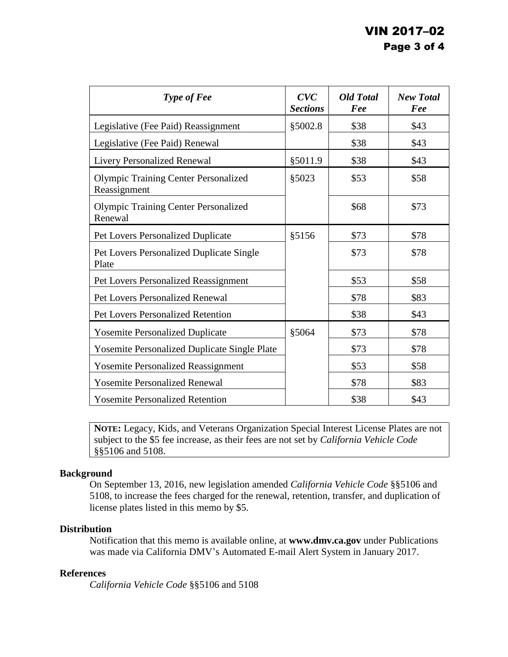| Type of Fee                                                 | CVC<br><b>Sections</b> | <b>Old Total</b><br>Fee | <b>New Total</b><br>Fee |
|-------------------------------------------------------------|------------------------|-------------------------|-------------------------|
| Legislative (Fee Paid) Reassignment                         | \$5002.8               | \$38                    | \$43                    |
| Legislative (Fee Paid) Renewal                              |                        | \$38                    | \$43                    |
| <b>Livery Personalized Renewal</b>                          | §5011.9                | \$38                    | \$43                    |
| <b>Olympic Training Center Personalized</b><br>Reassignment | §5023                  | \$53                    | \$58                    |
| <b>Olympic Training Center Personalized</b><br>Renewal      |                        | \$68                    | \$73                    |
| <b>Pet Lovers Personalized Duplicate</b>                    | §5156                  | \$73                    | \$78                    |
| Pet Lovers Personalized Duplicate Single<br>Plate           |                        | \$73                    | \$78                    |
| <b>Pet Lovers Personalized Reassignment</b>                 |                        | \$53                    | \$58                    |
| <b>Pet Lovers Personalized Renewal</b>                      |                        | \$78                    | \$83                    |
| <b>Pet Lovers Personalized Retention</b>                    |                        | \$38                    | \$43                    |
| <b>Yosemite Personalized Duplicate</b>                      | §5064                  | \$73                    | \$78                    |
| <b>Yosemite Personalized Duplicate Single Plate</b>         |                        | \$73                    | \$78                    |
| <b>Yosemite Personalized Reassignment</b>                   |                        | \$53                    | \$58                    |
| <b>Yosemite Personalized Renewal</b>                        |                        | \$78                    | \$83                    |
| <b>Yosemite Personalized Retention</b>                      |                        | \$38                    | \$43                    |

**NOTE:** Legacy, Kids, and Veterans Organization Special Interest License Plates are not subject to the \$5 fee increase, as their fees are not set by *California Vehicle Code*  §§5106 and 5108.

### **Background**

On September 13, 2016, new legislation amended *California Vehicle Code* §§5106 and 5108, to increase the fees charged for the renewal, retention, transfer, and duplication of license plates listed in this memo by \$5.

### **Distribution**

Notification that this memo is available online, at **<www.dmv.ca.gov>** under Publications was made via California DMV's Automated E-mail Alert System in January 2017.

### **References**

*California Vehicle Code* §§5106 and 5108